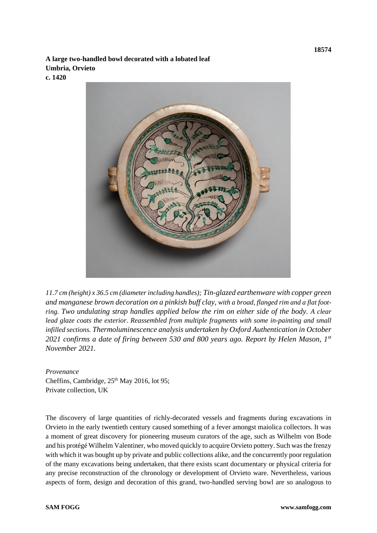**A large two-handled bowl decorated with a lobated leaf Umbria, Orvieto**

**c. 1420**



*11.7 cm (height) x 36.5 cm (diameter including handles); Tin-glazed earthenware with copper green and manganese brown decoration on a pinkish buff clay, with a broad, flanged rim and a flat footring. Two undulating strap handles applied below the rim on either side of the body. A clear lead glaze coats the exterior. Reassembled from multiple fragments with some in-painting and small infilled sections. Thermoluminescence analysis undertaken by Oxford Authentication in October 2021 confirms a date of firing between 530 and 800 years ago. Report by Helen Mason, 1st November 2021.*

*Provenance*  Cheffins, Cambridge, 25<sup>th</sup> May 2016, lot 95; Private collection, UK

The discovery of large quantities of richly-decorated vessels and fragments during excavations in Orvieto in the early twentieth century caused something of a fever amongst maiolica collectors. It was a moment of great discovery for pioneering museum curators of the age, such as Wilhelm von Bode and his protégé Wilhelm Valentiner, who moved quickly to acquire Orvieto pottery. Such was the frenzy with which it was bought up by private and public collections alike, and the concurrently poor regulation of the many excavations being undertaken, that there exists scant documentary or physical criteria for any precise reconstruction of the chronology or development of Orvieto ware. Nevertheless, various aspects of form, design and decoration of this grand, two-handled serving bowl are so analogous to